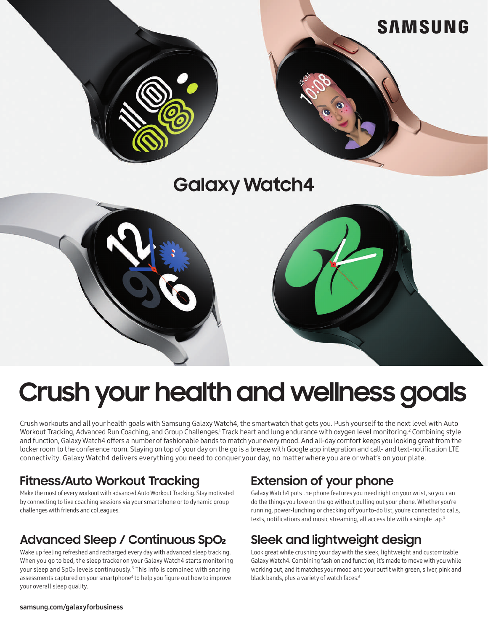

# **Crush your health and wellness goals**

Crush workouts and all your health goals with Samsung Galaxy Watch4, the smartwatch that gets you. Push yourself to the next level with Auto Workout Tracking, Advanced Run Coaching, and Group Challenges.<sup>1</sup> Track heart and lung endurance with oxygen level monitoring.<sup>2</sup> Combining style and function, Galaxy Watch4 offers a number of fashionable bands to match your every mood. And all-day comfort keeps you looking great from the locker room to the conference room. Staying on top of your day on the go is a breeze with Google app integration and call- and text-notification LTE connectivity. Galaxy Watch4 delivers everything you need to conquer your day, no matter where you are or what's on your plate.

#### **Fitness/Auto Workout Tracking**

Make the most of every workout with advanced Auto Workout Tracking. Stay motivated by connecting to live coaching sessions via your smartphone or to dynamic group challenges with friends and colleagues.<sup>1</sup>

#### **Advanced Sleep / Continuous SpO2**

Wake up feeling refreshed and recharged every day with advanced sleep tracking. When you go to bed, the sleep tracker on your Galaxy Watch4 starts monitoring your sleep and SpO₂ levels continuously.<sup>3</sup> This info is combined with snoring assessments captured on your smartphone<sup>4</sup> to help you figure out how to improve your overall sleep quality.

## **Extension of your phone**

Galaxy Watch4 puts the phone features you need right on your wrist, so you can do the things you love on the go without pulling out your phone. Whether you're running, power-lunching or checking off your to-do list, you're connected to calls, texts, notifications and music streaming, all accessible with a simple tap.<sup>5</sup>

## **Sleek and lightweight design**

Look great while crushing your day with the sleek, lightweight and customizable Galaxy Watch4. Combining fashion and function, it's made to move with you while working out, and it matches your mood and your outfit with green, silver, pink and black bands, plus a variety of watch faces.<sup>6</sup>